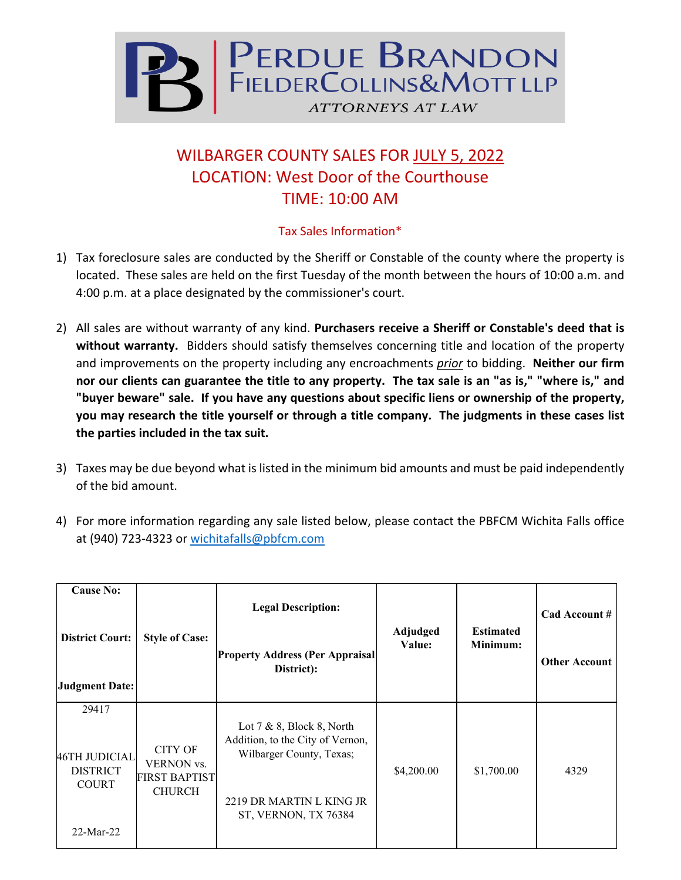

## WILBARGER COUNTY SALES FOR JULY 5, 2022 LOCATION: West Door of the Courthouse TIME: 10:00 AM

## Tax Sales Information\*

- 1) Tax foreclosure sales are conducted by the Sheriff or Constable of the county where the property is located. These sales are held on the first Tuesday of the month between the hours of 10:00 a.m. and 4:00 p.m. at a place designated by the commissioner's court.
- 2) All sales are without warranty of any kind. **Purchasers receive a Sheriff or Constable's deed that is without warranty.** Bidders should satisfy themselves concerning title and location of the property and improvements on the property including any encroachments *prior* to bidding. **Neither our firm nor our clients can guarantee the title to any property. The tax sale is an "as is," "where is," and "buyer beware" sale. If you have any questions about specific liens or ownership of the property, you may research the title yourself or through a title company. The judgments in these cases list the parties included in the tax suit.**
- 3) Taxes may be due beyond what is listed in the minimum bid amounts and must be paid independently of the bid amount.
- 4) For more information regarding any sale listed below, please contact the PBFCM Wichita Falls office at (940) 723-4323 or [wichitafalls@pbfcm.com](mailto:wichitafalls@pbfcm.com)

| <b>Cause No:</b><br><b>District Court:</b><br><b>Judgment Date:</b>      | <b>Style of Case:</b>                                                        | <b>Legal Description:</b><br><b>Property Address (Per Appraisal</b><br>District):                                                                | Adjudged<br>Value: | <b>Estimated</b><br>Minimum: | Cad Account #<br><b>Other Account</b> |
|--------------------------------------------------------------------------|------------------------------------------------------------------------------|--------------------------------------------------------------------------------------------------------------------------------------------------|--------------------|------------------------------|---------------------------------------|
| 29417<br>46TH JUDICIAL<br><b>DISTRICT</b><br><b>COURT</b><br>$22-Mar-22$ | <b>CITY OF</b><br><b>VERNON</b> vs.<br><b>FIRST BAPTIST</b><br><b>CHURCH</b> | Lot $7 & 8$ , Block 8, North<br>Addition, to the City of Vernon,<br>Wilbarger County, Texas;<br>2219 DR MARTIN L KING JR<br>ST, VERNON, TX 76384 | \$4,200.00         | \$1,700.00                   | 4329                                  |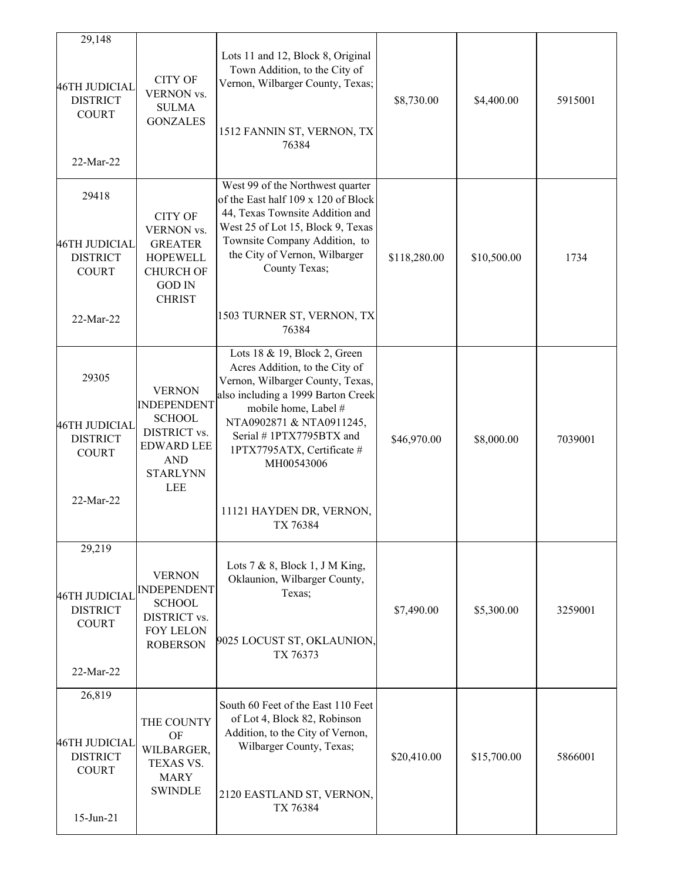| 29,148                                                                        |                                                                                                                         |                                                                                                                                                                                                                                       |              |             |         |
|-------------------------------------------------------------------------------|-------------------------------------------------------------------------------------------------------------------------|---------------------------------------------------------------------------------------------------------------------------------------------------------------------------------------------------------------------------------------|--------------|-------------|---------|
| 46TH JUDICIAL<br><b>DISTRICT</b><br><b>COURT</b><br>22-Mar-22                 | <b>CITY OF</b><br>VERNON vs.<br><b>SULMA</b><br><b>GONZALES</b>                                                         | Lots 11 and 12, Block 8, Original<br>Town Addition, to the City of<br>Vernon, Wilbarger County, Texas;<br>1512 FANNIN ST, VERNON, TX<br>76384                                                                                         | \$8,730.00   | \$4,400.00  | 5915001 |
|                                                                               |                                                                                                                         | West 99 of the Northwest quarter                                                                                                                                                                                                      |              |             |         |
| 29418<br>46TH JUDICIAL<br><b>DISTRICT</b><br><b>COURT</b><br>22-Mar-22        | <b>CITY OF</b><br>VERNON vs.<br><b>GREATER</b><br><b>HOPEWELL</b><br><b>CHURCH OF</b><br><b>GOD IN</b><br><b>CHRIST</b> | of the East half 109 x 120 of Block<br>44, Texas Townsite Addition and<br>West 25 of Lot 15, Block 9, Texas<br>Townsite Company Addition, to<br>the City of Vernon, Wilbarger<br>County Texas;<br>1503 TURNER ST, VERNON, TX<br>76384 | \$118,280.00 | \$10,500.00 | 1734    |
|                                                                               |                                                                                                                         | Lots 18 & 19, Block 2, Green                                                                                                                                                                                                          |              |             |         |
| 29305<br>46TH JUDICIAL<br><b>DISTRICT</b><br><b>COURT</b>                     | <b>VERNON</b><br><b>INDEPENDENT</b><br><b>SCHOOL</b><br>DISTRICT vs.<br><b>EDWARD LEE</b>                               | Acres Addition, to the City of<br>Vernon, Wilbarger County, Texas,<br>also including a 1999 Barton Creek<br>mobile home, Label #<br>NTA0902871 & NTA0911245,<br>Serial #1PTX7795BTX and<br>1PTX7795ATX, Certificate #                 | \$46,970.00  | \$8,000.00  | 7039001 |
| 22-Mar-22                                                                     | <b>AND</b><br><b>STARLYNN</b><br><b>LEE</b>                                                                             | MH00543006<br>11121 HAYDEN DR, VERNON,<br>TX 76384                                                                                                                                                                                    |              |             |         |
| 29,219                                                                        |                                                                                                                         |                                                                                                                                                                                                                                       |              |             |         |
| 46TH JUDICIAL<br><b>DISTRICT</b><br><b>COURT</b>                              | <b>VERNON</b><br><b>INDEPENDENT</b><br><b>SCHOOL</b><br>DISTRICT vs.<br><b>FOY LELON</b><br><b>ROBERSON</b>             | Lots $7 & 8$ , Block 1, J M King,<br>Oklaunion, Wilbarger County,<br>Texas;<br>9025 LOCUST ST, OKLAUNION,<br>TX 76373                                                                                                                 | \$7,490.00   | \$5,300.00  | 3259001 |
| 22-Mar-22                                                                     |                                                                                                                         |                                                                                                                                                                                                                                       |              |             |         |
| 26,819<br>46TH JUDICIAL<br><b>DISTRICT</b><br><b>COURT</b><br>$15 - Jun - 21$ | THE COUNTY<br>OF<br>WILBARGER,<br>TEXAS VS.<br><b>MARY</b><br><b>SWINDLE</b>                                            | South 60 Feet of the East 110 Feet<br>of Lot 4, Block 82, Robinson<br>Addition, to the City of Vernon,<br>Wilbarger County, Texas;<br>2120 EASTLAND ST, VERNON,<br>TX 76384                                                           | \$20,410.00  | \$15,700.00 | 5866001 |